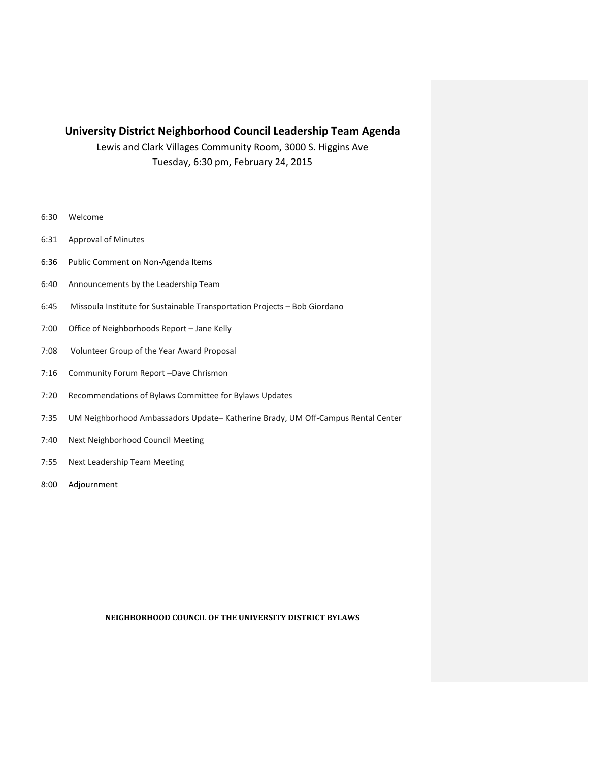## **University District Neighborhood Council Leadership Team Agenda**

Lewis and Clark Villages Community Room, 3000 S. Higgins Ave Tuesday, 6:30 pm, February 24, 2015

- 6:30 Welcome
- 6:31 Approval of Minutes
- 6:36 Public Comment on Non-Agenda Items
- 6:40 Announcements by the Leadership Team
- 6:45 Missoula Institute for Sustainable Transportation Projects Bob Giordano
- 7:00 Office of Neighborhoods Report Jane Kelly
- 7:08 Volunteer Group of the Year Award Proposal
- 7:16 Community Forum Report –Dave Chrismon
- 7:20 Recommendations of Bylaws Committee for Bylaws Updates
- 7:35 UM Neighborhood Ambassadors Update– Katherine Brady, UM Off-Campus Rental Center
- 7:40 Next Neighborhood Council Meeting
- 7:55 Next Leadership Team Meeting
- 8:00 Adjournment

## **NEIGHBORHOOD COUNCIL OF THE UNIVERSITY DISTRICT BYLAWS**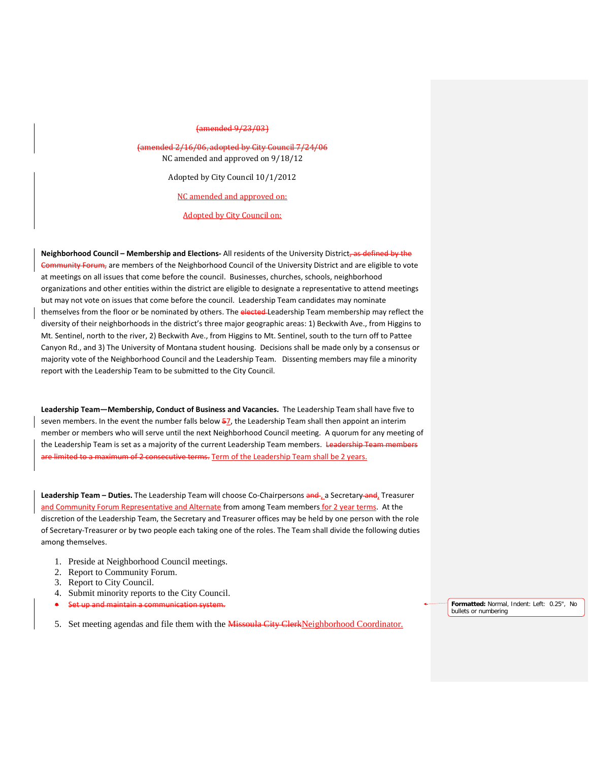## (amended 9/23/03)

(amended 2/16/06, adopted by City Council 7/24/06 NC amended and approved on 9/18/12

Adopted by City Council 10/1/2012

NC amended and approved on:

Adopted by City Council on:

**Neighborhood Council – Membership and Elections-** All residents of the University District, as defined by the Community Forum, are members of the Neighborhood Council of the University District and are eligible to vote at meetings on all issues that come before the council. Businesses, churches, schools, neighborhood organizations and other entities within the district are eligible to designate a representative to attend meetings but may not vote on issues that come before the council. Leadership Team candidates may nominate themselves from the floor or be nominated by others. The elected Leadership Team membership may reflect the diversity of their neighborhoods in the district's three major geographic areas: 1) Beckwith Ave., from Higgins to Mt. Sentinel, north to the river, 2) Beckwith Ave., from Higgins to Mt. Sentinel, south to the turn off to Pattee Canyon Rd., and 3) The University of Montana student housing. Decisions shall be made only by a consensus or majority vote of the Neighborhood Council and the Leadership Team. Dissenting members may file a minority report with the Leadership Team to be submitted to the City Council.

**Leadership Team—Membership, Conduct of Business and Vacancies.** The Leadership Team shall have five to seven members. In the event the number falls below 57, the Leadership Team shall then appoint an interim member or members who will serve until the next Neighborhood Council meeting. A quorum for any meeting of the Leadership Team is set as a majority of the current Leadership Team members. Leadership Tea maximum of 2 consecutive terms. Term of the Leadership Team shall be 2 years.

**Leadership Team – Duties.** The Leadership Team will choose Co-Chairpersons and , a Secretary and, Treasurer and Community Forum Representative and Alternate from among Team members for 2 year terms. At the discretion of the Leadership Team, the Secretary and Treasurer offices may be held by one person with the role of Secretary-Treasurer or by two people each taking one of the roles. The Team shall divide the following duties among themselves.

- 1. Preside at Neighborhood Council meetings.
- 2. Report to Community Forum.
- 3. Report to City Council.
- 4. Submit minority reports to the City Council.
- **•** Set up and maintain a communication system.

5. Set meeting agendas and file them with the Missoula City ClerkNeighborhood Coordinator.

**Formatted:** Normal, Indent: Left: 0.25", No bullets or numbering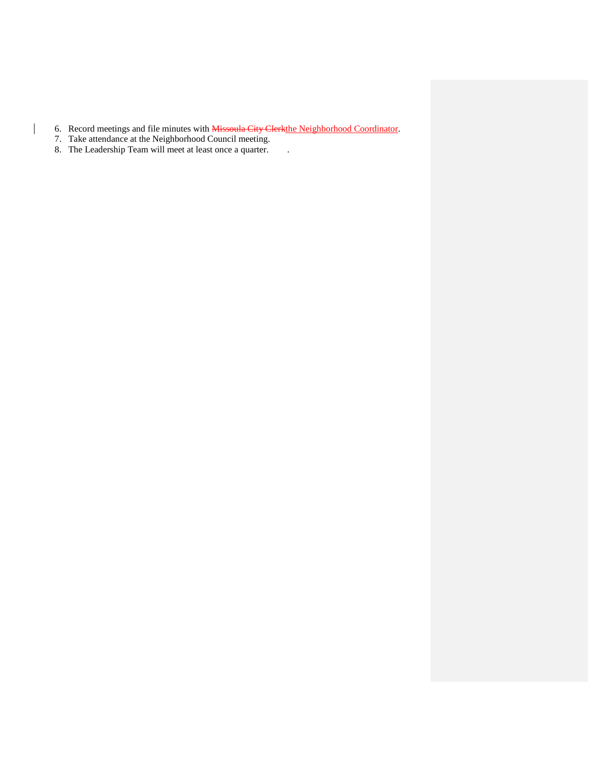- 6. Record meetings and file minutes with Missoula City Clerkthe Neighborhood Coordinator.
- 7. Take attendance at the Neighborhood Council meeting.

 $\mathsf{l}$ 

8. The Leadership Team will meet at least once a quarter. .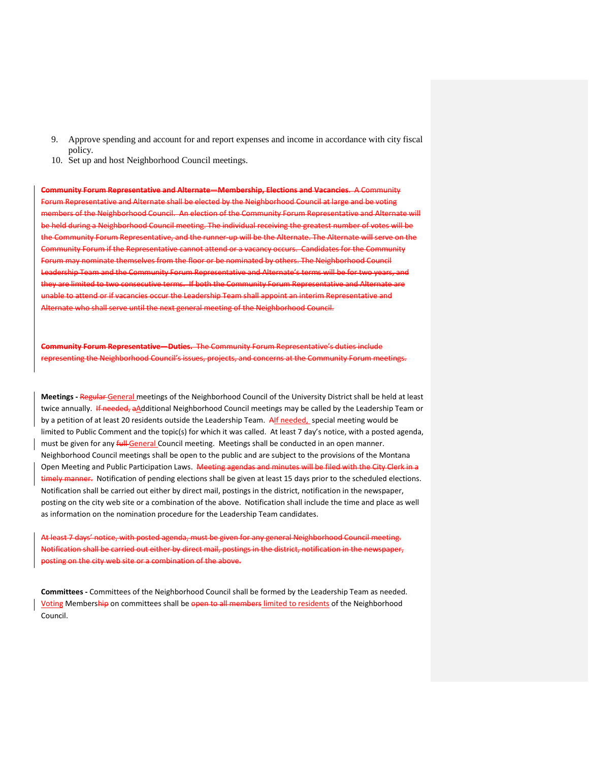- 9. Approve spending and account for and report expenses and income in accordance with city fiscal policy.
- 10. Set up and host Neighborhood Council meetings.

**Community Forum Representative and Alternate—Membership, Elections and Vacancies**. A Community Forum Representative and Alternate shall be elected by the Neighborhood Council at large and be voting of the Neighborhood Council. An election of the Community Forum Representative and Alternate will be held during a Neighborhood Council meeting. The individual receiving the greatest number of votes will be the Community Forum Representative, and the runner-up will be the Alternate. The Alternate will serve on the nunity Forum if the Representative cannot attend or a vacancy occurs. Candidates for the Community Forum may nominate themselves from the floor or be nominated by others. The Neighborhood Council rship Team and the Community Forum Representative and Alternate's terms will be for two years, and they are limited to two consecutive terms. If both the Community Forum Representative and Alternate are he to attend or if vacancies occur the Leadership Team shall appoint an interim Representative and ate who shall serve until the next general meeting of the Neighborhood Council.

**The Community Forum Representative's duties include** renting the Neighborhood Council's issues, projects, and concerns at the Community Forum meetings.

**Meetings -** Regular General meetings of the Neighborhood Council of the University District shall be held at least twice annually. If needed, aAdditional Neighborhood Council meetings may be called by the Leadership Team or by a petition of at least 20 residents outside the Leadership Team. Alf needed, special meeting would be limited to Public Comment and the topic(s) for which it was called. At least 7 day's notice, with a posted agenda, must be given for any *full-General* Council meeting. Meetings shall be conducted in an open manner. Neighborhood Council meetings shall be open to the public and are subject to the provisions of the Montana Open Meeting and Public Participation Laws. Meeting agendas and minutes will be filed with the City Clerk in a timely manner. Notification of pending elections shall be given at least 15 days prior to the scheduled elections. Notification shall be carried out either by direct mail, postings in the district, notification in the newspaper, posting on the city web site or a combination of the above. Notification shall include the time and place as well as information on the nomination procedure for the Leadership Team candidates.

At least 7 days' notice, with posted agenda, must be given for any general Neighborhood Council meeting. Notification shall be carried out either by direct mail, postings in the district, notification in the newspaper, posting on the city web site or a combination of the above.

**Committees -** Committees of the Neighborhood Council shall be formed by the Leadership Team as needed. Voting Membership on committees shall be open to all members limited to residents of the Neighborhood Council.